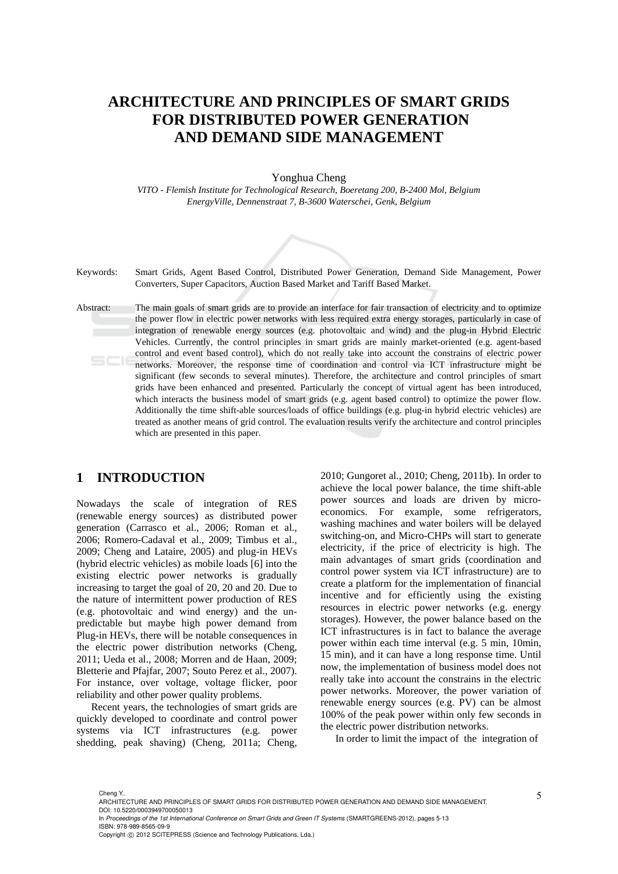# **ARCHITECTURE AND PRINCIPLES OF SMART GRIDS FOR DISTRIBUTED POWER GENERATION AND DEMAND SIDE MANAGEMENT**

Yonghua Cheng

*VITO - Flemish Institute for Technological Research, Boeretang 200, B-2400 Mol, Belgium EnergyVille, Dennenstraat 7, B-3600 Waterschei, Genk, Belgium* 



Keywords: Smart Grids, Agent Based Control, Distributed Power Generation, Demand Side Management, Power Converters, Super Capacitors, Auction Based Market and Tariff Based Market.

Abstract: The main goals of smart grids are to provide an interface for fair transaction of electricity and to optimize the power flow in electric power networks with less required extra energy storages, particularly in case of integration of renewable energy sources (e.g. photovoltaic and wind) and the plug-in Hybrid Electric Vehicles. Currently, the control principles in smart grids are mainly market-oriented (e.g. agent-based control and event based control), which do not really take into account the constrains of electric power networks. Moreover, the response time of coordination and control via ICT infrastructure might be significant (few seconds to several minutes). Therefore, the architecture and control principles of smart grids have been enhanced and presented. Particularly the concept of virtual agent has been introduced, which interacts the business model of smart grids (e.g. agent based control) to optimize the power flow. Additionally the time shift-able sources/loads of office buildings (e.g. plug-in hybrid electric vehicles) are treated as another means of grid control. The evaluation results verify the architecture and control principles which are presented in this paper.

### **1 INTRODUCTION**

Nowadays the scale of integration of RES (renewable energy sources) as distributed power generation (Carrasco et al., 2006; Roman et al., 2006; Romero-Cadaval et al., 2009; Timbus et al., 2009; Cheng and Lataire, 2005) and plug-in HEVs (hybrid electric vehicles) as mobile loads [6] into the existing electric power networks is gradually increasing to target the goal of 20, 20 and 20. Due to the nature of intermittent power production of RES (e.g. photovoltaic and wind energy) and the unpredictable but maybe high power demand from Plug-in HEVs, there will be notable consequences in the electric power distribution networks (Cheng, 2011; Ueda et al., 2008; Morren and de Haan, 2009; Bletterie and Pfajfar, 2007; Souto Perez et al., 2007). For instance, over voltage, voltage flicker, poor reliability and other power quality problems.

Recent years, the technologies of smart grids are quickly developed to coordinate and control power systems via ICT infrastructures (e.g. power shedding, peak shaving) (Cheng, 2011a; Cheng,

2010; Gungoret al., 2010; Cheng, 2011b). In order to achieve the local power balance, the time shift-able power sources and loads are driven by microeconomics. For example, some refrigerators, washing machines and water boilers will be delayed switching-on, and Micro-CHPs will start to generate electricity, if the price of electricity is high. The main advantages of smart grids (coordination and control power system via ICT infrastructure) are to create a platform for the implementation of financial incentive and for efficiently using the existing resources in electric power networks (e.g. energy storages). However, the power balance based on the ICT infrastructures is in fact to balance the average power within each time interval (e.g. 5 min, 10min, 15 min), and it can have a long response time. Until now, the implementation of business model does not really take into account the constrains in the electric power networks. Moreover, the power variation of renewable energy sources (e.g. PV) can be almost 100% of the peak power within only few seconds in the electric power distribution networks.

In order to limit the impact of the integration of

In *Proceedings of the 1st International Conference on Smart Grids and Green IT Systems* (SMARTGREENS-2012), pages 5-13 ISBN: 978-989-8565-09-9

Cheng Y.. ARCHITECTURE AND PRINCIPLES OF SMART GRIDS FOR DISTRIBUTED POWER GENERATION AND DEMAND SIDE MANAGEMENT. DOI: 10.5220/0003949700050013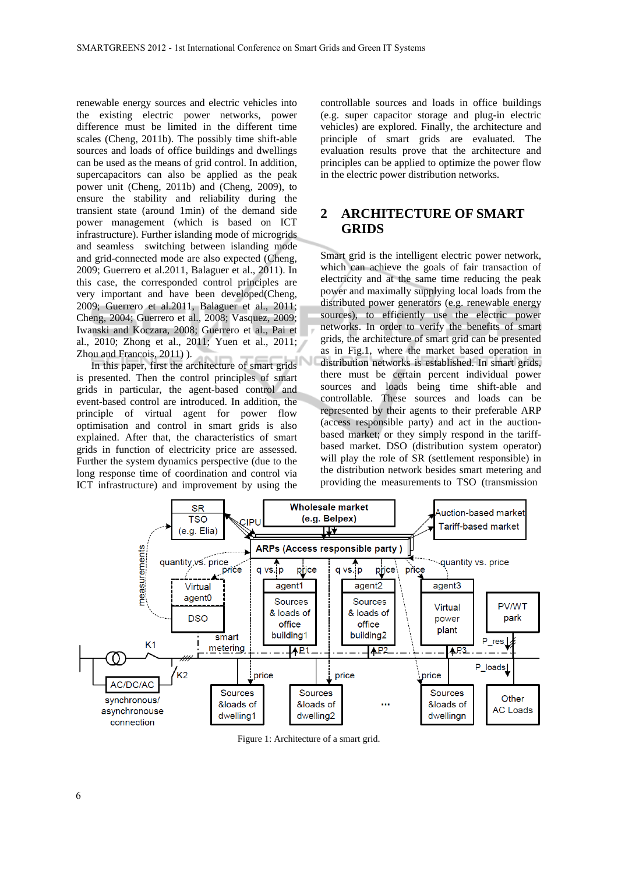renewable energy sources and electric vehicles into the existing electric power networks, power difference must be limited in the different time scales (Cheng, 2011b). The possibly time shift-able sources and loads of office buildings and dwellings can be used as the means of grid control. In addition, supercapacitors can also be applied as the peak power unit (Cheng, 2011b) and (Cheng, 2009), to ensure the stability and reliability during the transient state (around 1min) of the demand side power management (which is based on ICT infrastructure). Further islanding mode of microgrids and seamless switching between islanding mode and grid-connected mode are also expected (Cheng, 2009; Guerrero et al.2011, Balaguer et al., 2011). In this case, the corresponded control principles are very important and have been developed(Cheng, 2009; Guerrero et al.2011, Balaguer et al., 2011; Cheng, 2004; Guerrero et al., 2008; Vasquez, 2009; Iwanski and Koczara, 2008; Guerrero et al., Pai et al., 2010; Zhong et al., 2011; Yuen et al., 2011; Zhou and Francois, 2011) ).

In this paper, first the architecture of smart grids is presented. Then the control principles of smart grids in particular, the agent-based control and event-based control are introduced. In addition, the principle of virtual agent for power flow optimisation and control in smart grids is also explained. After that, the characteristics of smart grids in function of electricity price are assessed. Further the system dynamics perspective (due to the long response time of coordination and control via ICT infrastructure) and improvement by using the controllable sources and loads in office buildings (e.g. super capacitor storage and plug-in electric vehicles) are explored. Finally, the architecture and principle of smart grids are evaluated. The evaluation results prove that the architecture and principles can be applied to optimize the power flow in the electric power distribution networks.

## **2 ARCHITECTURE OF SMART GRIDS**

Smart grid is the intelligent electric power network, which can achieve the goals of fair transaction of electricity and at the same time reducing the peak power and maximally supplying local loads from the distributed power generators (e.g. renewable energy sources), to efficiently use the electric power networks. In order to verify the benefits of smart grids, the architecture of smart grid can be presented as in Fig.1, where the market based operation in distribution networks is established. In smart grids, there must be certain percent individual power sources and loads being time shift-able and controllable. These sources and loads can be represented by their agents to their preferable ARP (access responsible party) and act in the auctionbased market; or they simply respond in the tariffbased market. DSO (distribution system operator) will play the role of SR (settlement responsible) in the distribution network besides smart metering and providing the measurements to TSO (transmission



Figure 1: Architecture of a smart grid.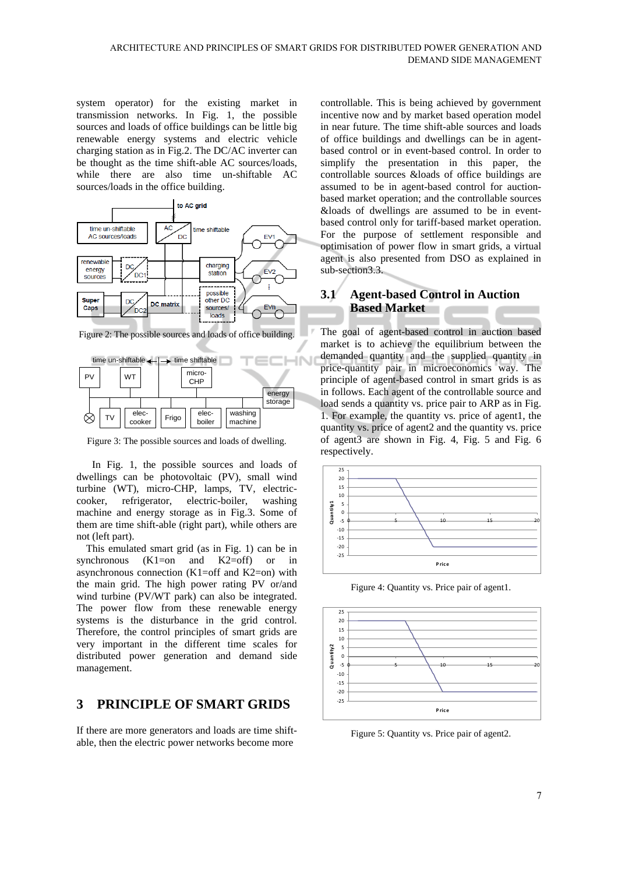system operator) for the existing market in transmission networks. In Fig. 1, the possible sources and loads of office buildings can be little big renewable energy systems and electric vehicle charging station as in Fig.2. The DC/AC inverter can be thought as the time shift-able AC sources/loads, while there are also time un-shiftable AC sources/loads in the office building.



Figure 2: The possible sources and loads of office building.



Figure 3: The possible sources and loads of dwelling.

In Fig. 1, the possible sources and loads of dwellings can be photovoltaic (PV), small wind turbine (WT), micro-CHP, lamps, TV, electriccooker, refrigerator, electric-boiler, washing machine and energy storage as in Fig.3. Some of them are time shift-able (right part), while others are not (left part).

This emulated smart grid (as in Fig. 1) can be in synchronous (K1=on and K2=off) or in asynchronous connection (K1=off and K2=on) with the main grid. The high power rating PV or/and wind turbine (PV/WT park) can also be integrated. The power flow from these renewable energy systems is the disturbance in the grid control. Therefore, the control principles of smart grids are very important in the different time scales for distributed power generation and demand side management.

## **3 PRINCIPLE OF SMART GRIDS**

If there are more generators and loads are time shiftable, then the electric power networks become more

controllable. This is being achieved by government incentive now and by market based operation model in near future. The time shift-able sources and loads of office buildings and dwellings can be in agentbased control or in event-based control. In order to simplify the presentation in this paper, the controllable sources &loads of office buildings are assumed to be in agent-based control for auctionbased market operation; and the controllable sources &loads of dwellings are assumed to be in eventbased control only for tariff-based market operation. For the purpose of settlement responsible and optimisation of power flow in smart grids, a virtual agent is also presented from DSO as explained in sub-section3.3.

### **3.1 Agent-based Control in Auction Based Market**

The goal of agent-based control in auction based market is to achieve the equilibrium between the demanded quantity and the supplied quantity in price-quantity pair in microeconomics way. The principle of agent-based control in smart grids is as in follows. Each agent of the controllable source and load sends a quantity vs. price pair to ARP as in Fig. 1. For example, the quantity vs. price of agent1, the quantity vs. price of agent2 and the quantity vs. price of agent3 are shown in Fig. 4, Fig. 5 and Fig. 6 respectively.



Figure 4: Quantity vs. Price pair of agent1.



Figure 5: Quantity vs. Price pair of agent2.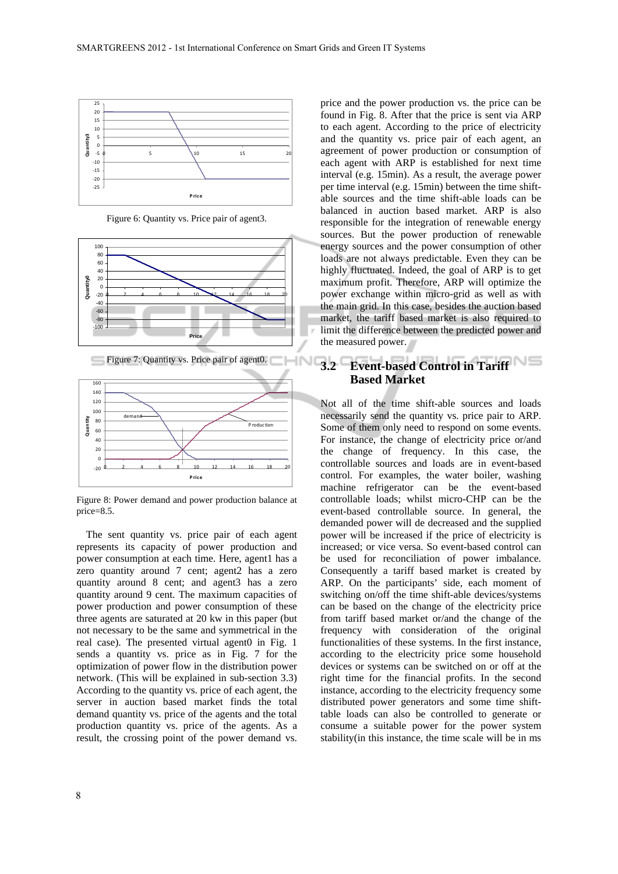

Figure 6: Quantity vs. Price pair of agent3.





Figure 8: Power demand and power production balance at price=8.5.

The sent quantity vs. price pair of each agent represents its capacity of power production and power consumption at each time. Here, agent1 has a zero quantity around 7 cent; agent2 has a zero quantity around 8 cent; and agent3 has a zero quantity around 9 cent. The maximum capacities of power production and power consumption of these three agents are saturated at 20 kw in this paper (but not necessary to be the same and symmetrical in the real case). The presented virtual agent0 in Fig. 1 sends a quantity vs. price as in Fig. 7 for the optimization of power flow in the distribution power network. (This will be explained in sub-section 3.3) According to the quantity vs. price of each agent, the server in auction based market finds the total demand quantity vs. price of the agents and the total production quantity vs. price of the agents. As a result, the crossing point of the power demand vs.

per time interval (e.g. 15min) between the time shiftable sources and the time shift-able loads can be balanced in auction based market. ARP is also responsible for the integration of renewable energy sources. But the power production of renewable energy sources and the power consumption of other loads are not always predictable. Even they can be highly fluctuated. Indeed, the goal of ARP is to get maximum profit. Therefore, ARP will optimize the power exchange within micro-grid as well as with the main grid. In this case, besides the auction based market, the tariff based market is also required to limit the difference between the predicted power and the measured power. **SINC 3.2 Event-based Control in Tariff Based Market**  Not all of the time shift-able sources and loads necessarily send the quantity vs. price pair to ARP.

price and the power production vs. the price can be found in Fig. 8. After that the price is sent via ARP to each agent. According to the price of electricity and the quantity vs. price pair of each agent, an agreement of power production or consumption of each agent with ARP is established for next time interval (e.g. 15min). As a result, the average power

Some of them only need to respond on some events. For instance, the change of electricity price or/and the change of frequency. In this case, the controllable sources and loads are in event-based control. For examples, the water boiler, washing machine refrigerator can be the event-based controllable loads; whilst micro-CHP can be the event-based controllable source. In general, the demanded power will de decreased and the supplied power will be increased if the price of electricity is increased; or vice versa. So event-based control can be used for reconciliation of power imbalance. Consequently a tariff based market is created by ARP. On the participants' side, each moment of switching on/off the time shift-able devices/systems can be based on the change of the electricity price from tariff based market or/and the change of the frequency with consideration of the original functionalities of these systems. In the first instance, according to the electricity price some household devices or systems can be switched on or off at the right time for the financial profits. In the second instance, according to the electricity frequency some distributed power generators and some time shifttable loads can also be controlled to generate or consume a suitable power for the power system stability(in this instance, the time scale will be in ms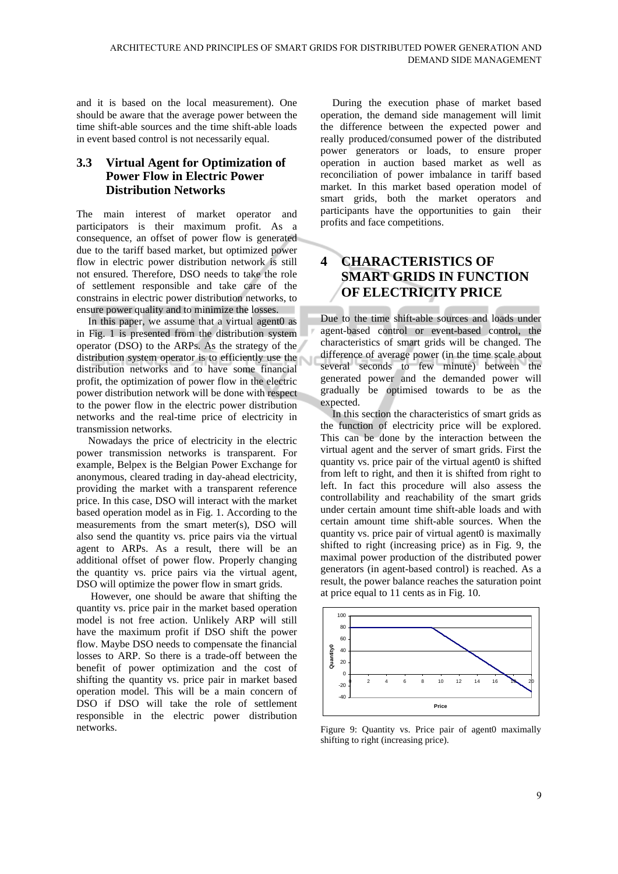and it is based on the local measurement). One should be aware that the average power between the time shift-able sources and the time shift-able loads in event based control is not necessarily equal.

#### **3.3 Virtual Agent for Optimization of Power Flow in Electric Power Distribution Networks**

The main interest of market operator and participators is their maximum profit. As a consequence, an offset of power flow is generated due to the tariff based market, but optimized power flow in electric power distribution network is still not ensured. Therefore, DSO needs to take the role of settlement responsible and take care of the constrains in electric power distribution networks, to ensure power quality and to minimize the losses.

In this paper, we assume that a virtual agent0 as in Fig. 1 is presented from the distribution system operator (DSO) to the ARPs. As the strategy of the distribution system operator is to efficiently use the distribution networks and to have some financial profit, the optimization of power flow in the electric power distribution network will be done with respect to the power flow in the electric power distribution networks and the real-time price of electricity in transmission networks.

Nowadays the price of electricity in the electric power transmission networks is transparent. For example, Belpex is the Belgian Power Exchange for anonymous, cleared trading in day-ahead electricity, providing the market with a transparent reference price. In this case, DSO will interact with the market based operation model as in Fig. 1. According to the measurements from the smart meter(s), DSO will also send the quantity vs. price pairs via the virtual agent to ARPs. As a result, there will be an additional offset of power flow. Properly changing the quantity vs. price pairs via the virtual agent, DSO will optimize the power flow in smart grids.

 However, one should be aware that shifting the quantity vs. price pair in the market based operation model is not free action. Unlikely ARP will still have the maximum profit if DSO shift the power flow. Maybe DSO needs to compensate the financial losses to ARP. So there is a trade-off between the benefit of power optimization and the cost of shifting the quantity vs. price pair in market based operation model. This will be a main concern of DSO if DSO will take the role of settlement responsible in the electric power distribution networks.

During the execution phase of market based operation, the demand side management will limit the difference between the expected power and really produced/consumed power of the distributed power generators or loads, to ensure proper operation in auction based market as well as reconciliation of power imbalance in tariff based market. In this market based operation model of smart grids, both the market operators and participants have the opportunities to gain their profits and face competitions.

# **4 CHARACTERISTICS OF SMART GRIDS IN FUNCTION OF ELECTRICITY PRICE**

Due to the time shift-able sources and loads under agent-based control or event-based control, the characteristics of smart grids will be changed. The difference of average power (in the time scale about several seconds to few minute) between the generated power and the demanded power will gradually be optimised towards to be as the expected.

In this section the characteristics of smart grids as the function of electricity price will be explored. This can be done by the interaction between the virtual agent and the server of smart grids. First the quantity vs. price pair of the virtual agent0 is shifted from left to right, and then it is shifted from right to left. In fact this procedure will also assess the controllability and reachability of the smart grids under certain amount time shift-able loads and with certain amount time shift-able sources. When the quantity vs. price pair of virtual agent0 is maximally shifted to right (increasing price) as in Fig. 9, the maximal power production of the distributed power generators (in agent-based control) is reached. As a result, the power balance reaches the saturation point at price equal to 11 cents as in Fig. 10.



Figure 9: Quantity vs. Price pair of agent0 maximally shifting to right (increasing price).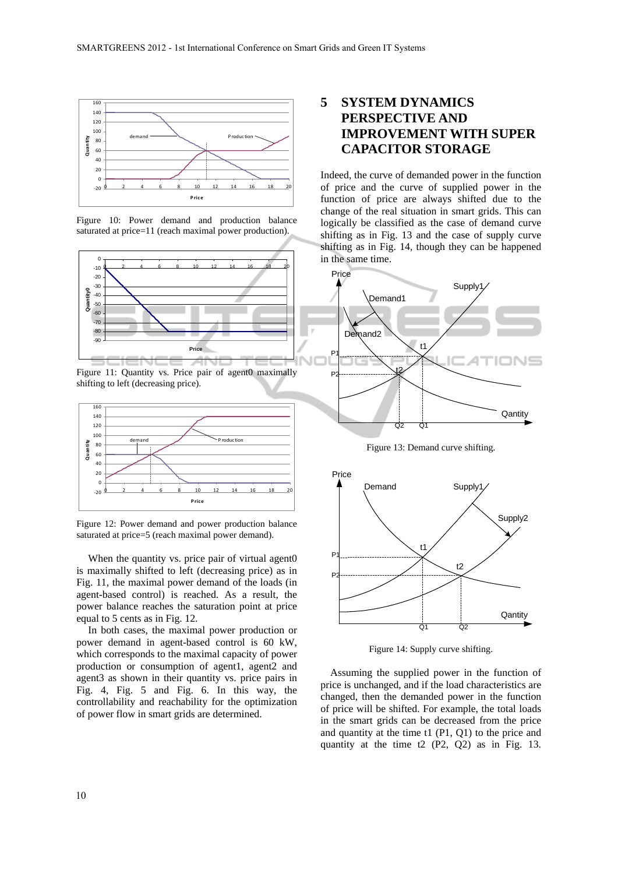

Figure 10: Power demand and production balance saturated at price=11 (reach maximal power production).



Figure 11: Quantity vs. Price pair of agent0 maximally shifting to left (decreasing price).



Figure 12: Power demand and power production balance saturated at price=5 (reach maximal power demand).

When the quantity vs. price pair of virtual agent0 is maximally shifted to left (decreasing price) as in Fig. 11, the maximal power demand of the loads (in agent-based control) is reached. As a result, the power balance reaches the saturation point at price equal to 5 cents as in Fig. 12.

In both cases, the maximal power production or power demand in agent-based control is 60 kW, which corresponds to the maximal capacity of power production or consumption of agent1, agent2 and agent3 as shown in their quantity vs. price pairs in Fig. 4, Fig. 5 and Fig. 6. In this way, the controllability and reachability for the optimization of power flow in smart grids are determined.

# **5 SYSTEM DYNAMICS PERSPECTIVE AND IMPROVEMENT WITH SUPER CAPACITOR STORAGE**

Indeed, the curve of demanded power in the function of price and the curve of supplied power in the function of price are always shifted due to the change of the real situation in smart grids. This can logically be classified as the case of demand curve shifting as in Fig. 13 and the case of supply curve shifting as in Fig. 14, though they can be happened in the same time.



Figure 13: Demand curve shifting.



Figure 14: Supply curve shifting.

Assuming the supplied power in the function of price is unchanged, and if the load characteristics are changed, then the demanded power in the function of price will be shifted. For example, the total loads in the smart grids can be decreased from the price and quantity at the time t1 (P1, Q1) to the price and quantity at the time t2 (P2, Q2) as in Fig. 13.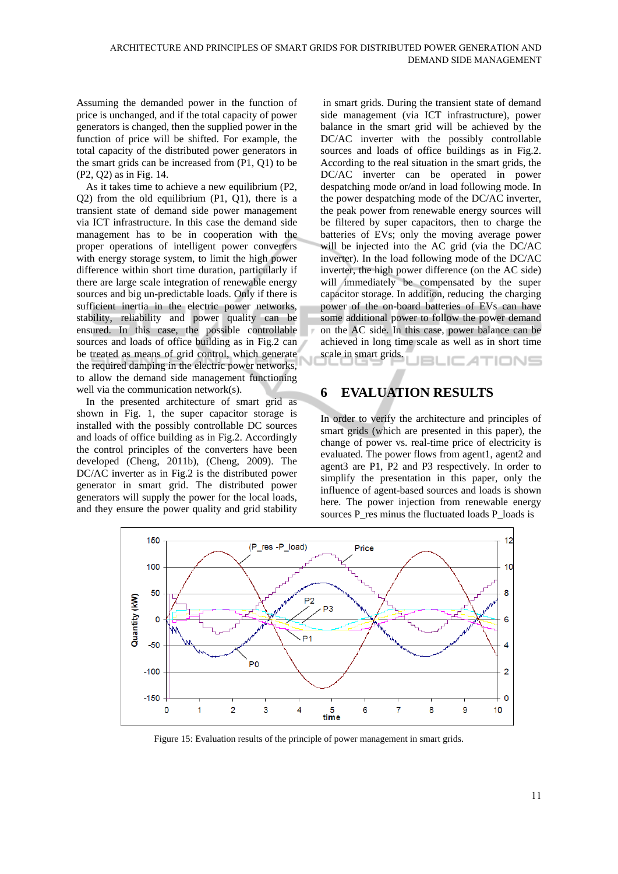Assuming the demanded power in the function of price is unchanged, and if the total capacity of power generators is changed, then the supplied power in the function of price will be shifted. For example, the total capacity of the distributed power generators in the smart grids can be increased from (P1, Q1) to be (P2, Q2) as in Fig. 14.

As it takes time to achieve a new equilibrium (P2, Q2) from the old equilibrium (P1, Q1), there is a transient state of demand side power management via ICT infrastructure. In this case the demand side management has to be in cooperation with the proper operations of intelligent power converters with energy storage system, to limit the high power difference within short time duration, particularly if there are large scale integration of renewable energy sources and big un-predictable loads. Only if there is sufficient inertia in the electric power networks, stability, reliability and power quality can be ensured. In this case, the possible controllable sources and loads of office building as in Fig.2 can be treated as means of grid control, which generate the required damping in the electric power networks, to allow the demand side management functioning well via the communication network(s).

In the presented architecture of smart grid as shown in Fig. 1, the super capacitor storage is installed with the possibly controllable DC sources and loads of office building as in Fig.2. Accordingly the control principles of the converters have been developed (Cheng, 2011b), (Cheng, 2009). The DC/AC inverter as in Fig.2 is the distributed power generator in smart grid. The distributed power generators will supply the power for the local loads, and they ensure the power quality and grid stability

 in smart grids. During the transient state of demand side management (via ICT infrastructure), power balance in the smart grid will be achieved by the DC/AC inverter with the possibly controllable sources and loads of office buildings as in Fig.2. According to the real situation in the smart grids, the DC/AC inverter can be operated in power despatching mode or/and in load following mode. In the power despatching mode of the DC/AC inverter, the peak power from renewable energy sources will be filtered by super capacitors, then to charge the batteries of EVs; only the moving average power will be injected into the AC grid (via the DC/AC inverter). In the load following mode of the DC/AC inverter, the high power difference (on the AC side) will immediately be compensated by the super capacitor storage. In addition, reducing the charging power of the on-board batteries of EVs can have some additional power to follow the power demand on the AC side. In this case, power balance can be achieved in long time scale as well as in short time scale in smart grids. **BLICATIONS** 

### **6 EVALUATION RESULTS**

In order to verify the architecture and principles of smart grids (which are presented in this paper), the change of power vs. real-time price of electricity is evaluated. The power flows from agent1, agent2 and agent3 are P1, P2 and P3 respectively. In order to simplify the presentation in this paper, only the influence of agent-based sources and loads is shown here. The power injection from renewable energy sources P\_res minus the fluctuated loads P\_loads is



Figure 15: Evaluation results of the principle of power management in smart grids.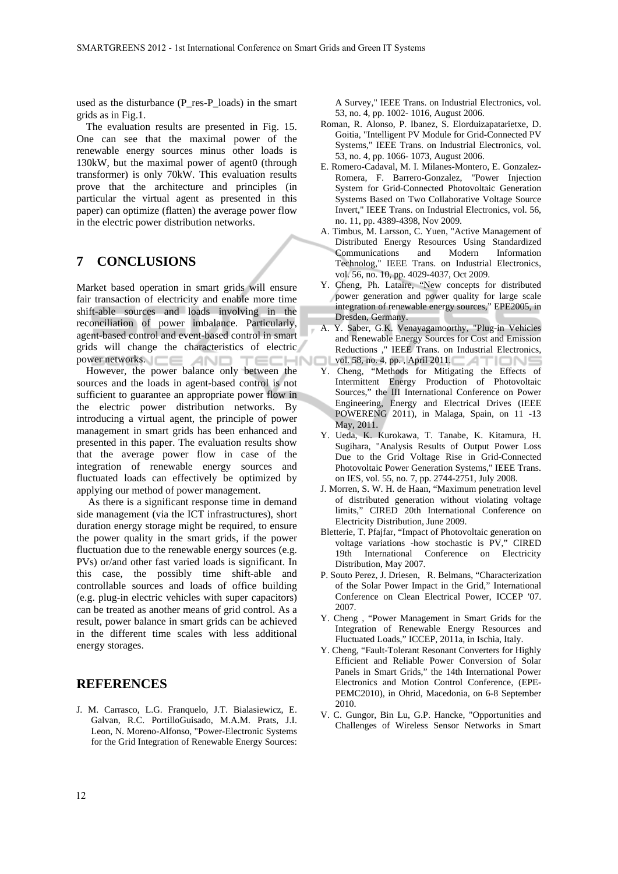used as the disturbance (P\_res-P\_loads) in the smart grids as in Fig.1.

The evaluation results are presented in Fig. 15. One can see that the maximal power of the renewable energy sources minus other loads is 130kW, but the maximal power of agent0 (through transformer) is only 70kW. This evaluation results prove that the architecture and principles (in particular the virtual agent as presented in this paper) can optimize (flatten) the average power flow in the electric power distribution networks.

#### **7 CONCLUSIONS**

Market based operation in smart grids will ensure fair transaction of electricity and enable more time shift-able sources and loads involving in the reconciliation of power imbalance. Particularly, agent-based control and event-based control in smart grids will change the characteristics of electric power networks.  $AND$ : rec :HNOL

However, the power balance only between the sources and the loads in agent-based control is not sufficient to guarantee an appropriate power flow in the electric power distribution networks. By introducing a virtual agent, the principle of power management in smart grids has been enhanced and presented in this paper. The evaluation results show that the average power flow in case of the integration of renewable energy sources and fluctuated loads can effectively be optimized by applying our method of power management.

As there is a significant response time in demand side management (via the ICT infrastructures), short duration energy storage might be required, to ensure the power quality in the smart grids, if the power fluctuation due to the renewable energy sources (e.g. PVs) or/and other fast varied loads is significant. In this case, the possibly time shift-able and controllable sources and loads of office building (e.g. plug-in electric vehicles with super capacitors) can be treated as another means of grid control. As a result, power balance in smart grids can be achieved in the different time scales with less additional energy storages.

### **REFERENCES**

J. M. Carrasco, L.G. Franquelo, J.T. Bialasiewicz, E. Galvan, R.C. PortilloGuisado, M.A.M. Prats, J.I. Leon, N. Moreno-Alfonso, "Power-Electronic Systems for the Grid Integration of Renewable Energy Sources:

A Survey," IEEE Trans. on Industrial Electronics, vol. 53, no. 4, pp. 1002- 1016, August 2006.

- Roman, R. Alonso, P. Ibanez, S. Elorduizapatarietxe, D. Goitia, "Intelligent PV Module for Grid-Connected PV Systems," IEEE Trans. on Industrial Electronics, vol. 53, no. 4, pp. 1066- 1073, August 2006.
- E. Romero-Cadaval, M. I. Milanes-Montero, E. Gonzalez-Romera, F. Barrero-Gonzalez, "Power Injection System for Grid-Connected Photovoltaic Generation Systems Based on Two Collaborative Voltage Source Invert," IEEE Trans. on Industrial Electronics, vol. 56, no. 11, pp. 4389-4398, Nov 2009.
- A. Timbus, M. Larsson, C. Yuen, "Active Management of Distributed Energy Resources Using Standardized Communications and Modern Information Technolog," IEEE Trans. on Industrial Electronics, vol. 56, no. 10, pp. 4029-4037, Oct 2009.
- Y. Cheng, Ph. Lataire, "New concepts for distributed power generation and power quality for large scale integration of renewable energy sources," EPE2005, in Dresden, Germany.
- A. Y. Saber, G.K. Venayagamoorthy, "Plug-in Vehicles and Renewable Energy Sources for Cost and Emission Reductions ," IEEE Trans. on Industrial Electronics, vol. 58, no. 4, pp., April 2011.
- Y. Cheng, "Methods for Mitigating the Effects of Intermittent Energy Production of Photovoltaic Sources," the III International Conference on Power Engineering, Energy and Electrical Drives (IEEE POWERENG 2011), in Malaga, Spain, on 11 -13 May, 2011.
- Y. Ueda, K. Kurokawa, T. Tanabe, K. Kitamura, H. Sugihara, "Analysis Results of Output Power Loss Due to the Grid Voltage Rise in Grid-Connected Photovoltaic Power Generation Systems," IEEE Trans. on IES, vol. 55, no. 7, pp. 2744-2751, July 2008.
- J. Morren, S. W. H. de Haan, "Maximum penetration level of distributed generation without violating voltage limits," CIRED 20th International Conference on Electricity Distribution, June 2009.
- Bletterie, T. Pfajfar, "Impact of Photovoltaic generation on voltage variations -how stochastic is PV," CIRED 19th International Conference on Electricity Distribution, May 2007.
- P. Souto Perez, J. Driesen, R. Belmans, "Characterization of the Solar Power Impact in the Grid," International Conference on Clean Electrical Power, ICCEP '07. 2007.
- Y. Cheng , "Power Management in Smart Grids for the Integration of Renewable Energy Resources and Fluctuated Loads," ICCEP, 2011a, in Ischia, Italy.
- Y. Cheng, "Fault-Tolerant Resonant Converters for Highly Efficient and Reliable Power Conversion of Solar Panels in Smart Grids," the 14th International Power Electronics and Motion Control Conference, (EPE-PEMC2010), in Ohrid, Macedonia, on 6-8 September 2010.
- V. C. Gungor, Bin Lu, G.P. Hancke, "Opportunities and Challenges of Wireless Sensor Networks in Smart